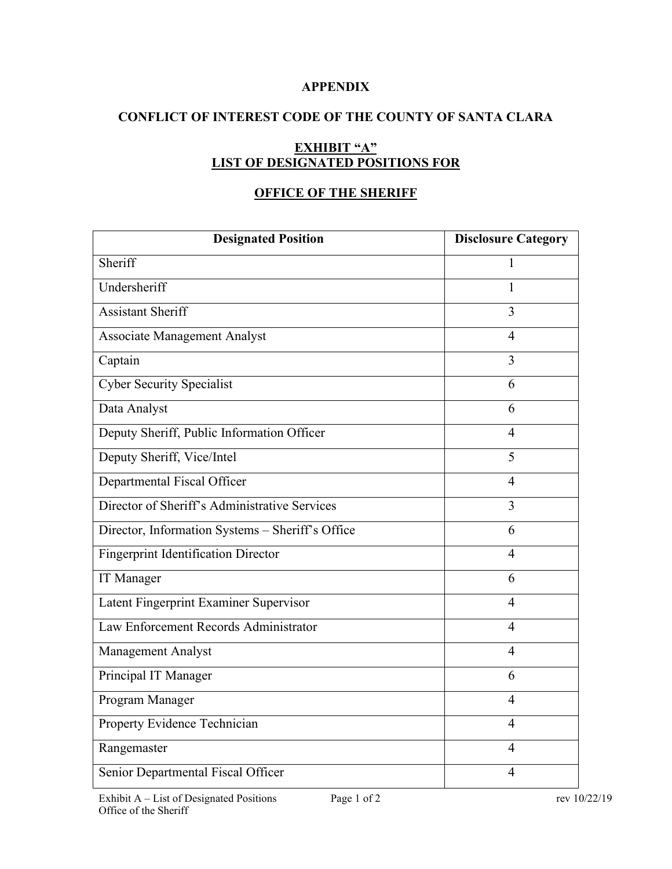### **APPENDIX**

## **CONFLICT OF INTEREST CODE OF THE COUNTY OF SANTA CLARA**

# **EXHIBIT "A" LIST OF DESIGNATED POSITIONS FOR**

## **OFFICE OF THE SHERIFF**

| <b>Designated Position</b>                       | <b>Disclosure Category</b> |
|--------------------------------------------------|----------------------------|
| Sheriff                                          | 1                          |
| Undersheriff                                     | 1                          |
| <b>Assistant Sheriff</b>                         | 3                          |
| <b>Associate Management Analyst</b>              | $\overline{4}$             |
| Captain                                          | 3                          |
| <b>Cyber Security Specialist</b>                 | 6                          |
| Data Analyst                                     | 6                          |
| Deputy Sheriff, Public Information Officer       | $\overline{4}$             |
| Deputy Sheriff, Vice/Intel                       | 5                          |
| Departmental Fiscal Officer                      | $\overline{4}$             |
| Director of Sheriff's Administrative Services    | $\overline{3}$             |
| Director, Information Systems - Sheriff's Office | 6                          |
| <b>Fingerprint Identification Director</b>       | 4                          |
| IT Manager                                       | 6                          |
| Latent Fingerprint Examiner Supervisor           | $\overline{4}$             |
| Law Enforcement Records Administrator            | $\overline{4}$             |
| Management Analyst                               | $\overline{4}$             |
| Principal IT Manager                             | 6                          |
| Program Manager                                  | $\overline{4}$             |
| Property Evidence Technician                     | $\overline{4}$             |
| Rangemaster                                      | $\overline{4}$             |
| Senior Departmental Fiscal Officer               | $\overline{4}$             |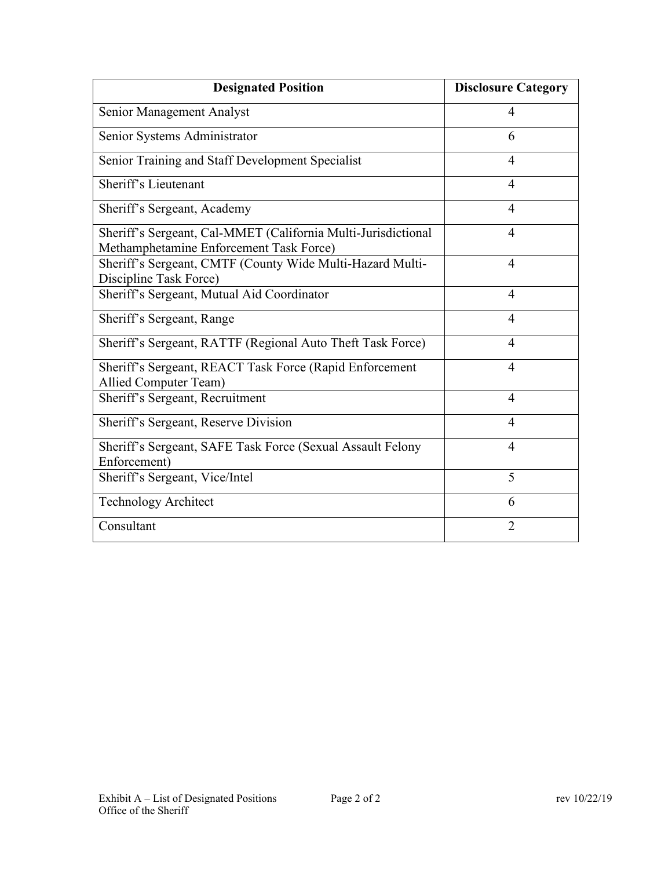| <b>Designated Position</b>                                                                               | <b>Disclosure Category</b> |
|----------------------------------------------------------------------------------------------------------|----------------------------|
| Senior Management Analyst                                                                                | 4                          |
| Senior Systems Administrator                                                                             | 6                          |
| Senior Training and Staff Development Specialist                                                         | 4                          |
| Sheriff's Lieutenant                                                                                     | $\overline{4}$             |
| Sheriff's Sergeant, Academy                                                                              | 4                          |
| Sheriff's Sergeant, Cal-MMET (California Multi-Jurisdictional<br>Methamphetamine Enforcement Task Force) | 4                          |
| Sheriff's Sergeant, CMTF (County Wide Multi-Hazard Multi-<br>Discipline Task Force)                      | 4                          |
| Sheriff's Sergeant, Mutual Aid Coordinator                                                               | $\overline{4}$             |
| Sheriff's Sergeant, Range                                                                                | $\overline{4}$             |
| Sheriff's Sergeant, RATTF (Regional Auto Theft Task Force)                                               | 4                          |
| Sheriff's Sergeant, REACT Task Force (Rapid Enforcement<br>Allied Computer Team)                         | 4                          |
| Sheriff's Sergeant, Recruitment                                                                          | 4                          |
| Sheriff's Sergeant, Reserve Division                                                                     | 4                          |
| Sheriff's Sergeant, SAFE Task Force (Sexual Assault Felony<br>Enforcement)                               | $\overline{4}$             |
| Sheriff's Sergeant, Vice/Intel                                                                           | 5                          |
| <b>Technology Architect</b>                                                                              | 6                          |
| Consultant                                                                                               | $\overline{2}$             |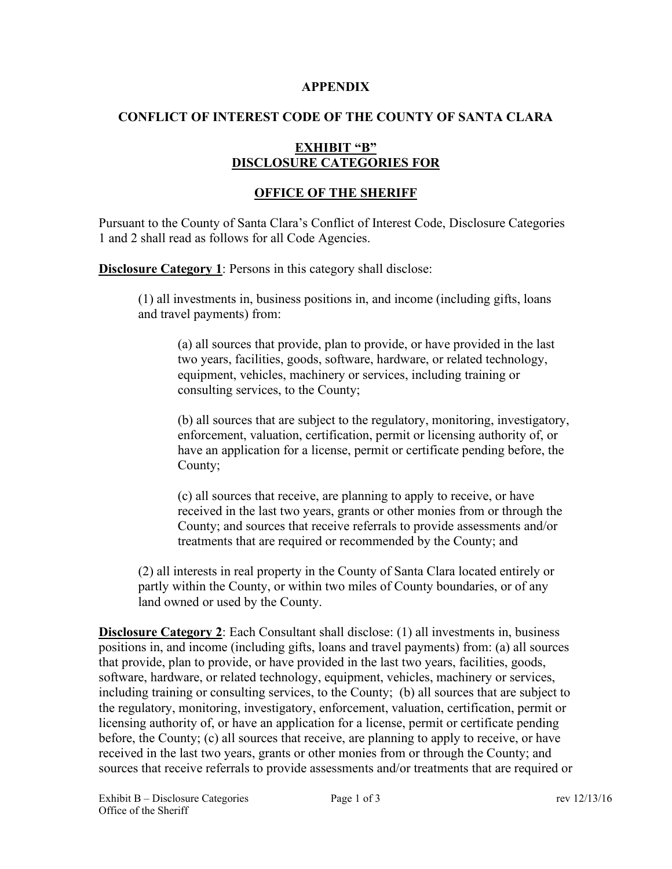#### **APPENDIX**

### **CONFLICT OF INTEREST CODE OF THE COUNTY OF SANTA CLARA**

### **EXHIBIT "B" DISCLOSURE CATEGORIES FOR**

### **OFFICE OF THE SHERIFF**

Pursuant to the County of Santa Clara's Conflict of Interest Code, Disclosure Categories 1 and 2 shall read as follows for all Code Agencies.

**Disclosure Category 1**: Persons in this category shall disclose:

(1) all investments in, business positions in, and income (including gifts, loans and travel payments) from:

(a) all sources that provide, plan to provide, or have provided in the last two years, facilities, goods, software, hardware, or related technology, equipment, vehicles, machinery or services, including training or consulting services, to the County;

(b) all sources that are subject to the regulatory, monitoring, investigatory, enforcement, valuation, certification, permit or licensing authority of, or have an application for a license, permit or certificate pending before, the County;

(c) all sources that receive, are planning to apply to receive, or have received in the last two years, grants or other monies from or through the County; and sources that receive referrals to provide assessments and/or treatments that are required or recommended by the County; and

(2) all interests in real property in the County of Santa Clara located entirely or partly within the County, or within two miles of County boundaries, or of any land owned or used by the County.

**Disclosure Category 2**: Each Consultant shall disclose: (1) all investments in, business positions in, and income (including gifts, loans and travel payments) from: (a) all sources that provide, plan to provide, or have provided in the last two years, facilities, goods, software, hardware, or related technology, equipment, vehicles, machinery or services, including training or consulting services, to the County; (b) all sources that are subject to the regulatory, monitoring, investigatory, enforcement, valuation, certification, permit or licensing authority of, or have an application for a license, permit or certificate pending before, the County; (c) all sources that receive, are planning to apply to receive, or have received in the last two years, grants or other monies from or through the County; and sources that receive referrals to provide assessments and/or treatments that are required or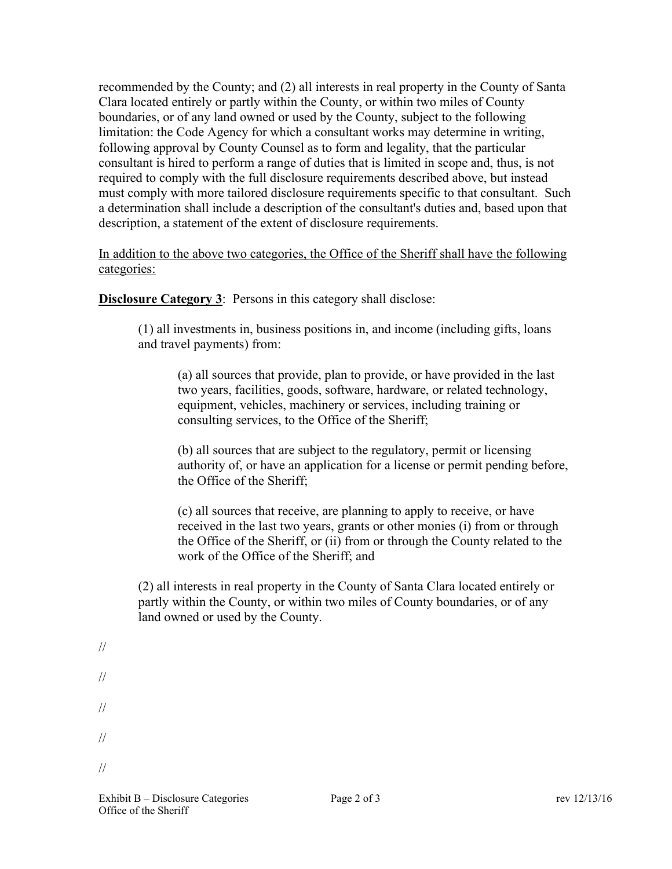recommended by the County; and (2) all interests in real property in the County of Santa Clara located entirely or partly within the County, or within two miles of County boundaries, or of any land owned or used by the County, subject to the following limitation: the Code Agency for which a consultant works may determine in writing, following approval by County Counsel as to form and legality, that the particular consultant is hired to perform a range of duties that is limited in scope and, thus, is not required to comply with the full disclosure requirements described above, but instead must comply with more tailored disclosure requirements specific to that consultant. Such a determination shall include a description of the consultant's duties and, based upon that description, a statement of the extent of disclosure requirements.

In addition to the above two categories, the Office of the Sheriff shall have the following categories:

**Disclosure Category 3:** Persons in this category shall disclose:

(1) all investments in, business positions in, and income (including gifts, loans and travel payments) from:

(a) all sources that provide, plan to provide, or have provided in the last two years, facilities, goods, software, hardware, or related technology, equipment, vehicles, machinery or services, including training or consulting services, to the Office of the Sheriff;

(b) all sources that are subject to the regulatory, permit or licensing authority of, or have an application for a license or permit pending before, the Office of the Sheriff;

(c) all sources that receive, are planning to apply to receive, or have received in the last two years, grants or other monies (i) from or through the Office of the Sheriff, or (ii) from or through the County related to the work of the Office of the Sheriff; and

(2) all interests in real property in the County of Santa Clara located entirely or partly within the County, or within two miles of County boundaries, or of any land owned or used by the County.

// // // // //